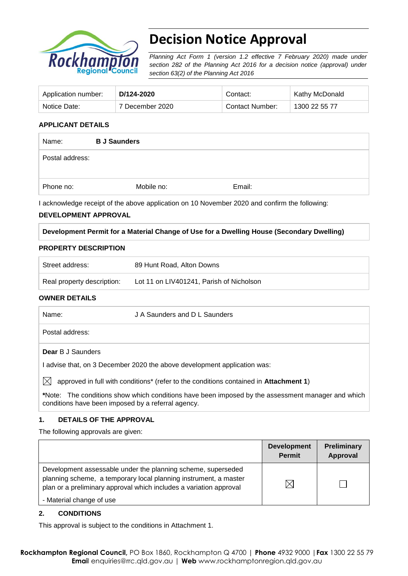

# **Decision Notice Approval**

*Planning Act Form 1 (version 1.2 effective 7 February 2020) made under section 282 of the Planning Act 2016 for a decision notice (approval) under section 63(2) of the Planning Act 2016*

| Application number: | D/124-2020      | Contact:        | Kathy McDonald |
|---------------------|-----------------|-----------------|----------------|
| Notice Date:        | 7 December 2020 | Contact Number: | 1300 22 55 77  |

## **APPLICANT DETAILS**

| Name:           | <b>B J Saunders</b> |        |  |
|-----------------|---------------------|--------|--|
| Postal address: |                     |        |  |
| Phone no:       | Mobile no:          | Email: |  |
|                 |                     |        |  |

I acknowledge receipt of the above application on 10 November 2020 and confirm the following:

## **DEVELOPMENT APPROVAL**

## **Development Permit for a Material Change of Use for a Dwelling House (Secondary Dwelling)**

#### **PROPERTY DESCRIPTION**

| Street address:            | 89 Hunt Road, Alton Downs                |
|----------------------------|------------------------------------------|
| Real property description: | Lot 11 on LIV401241, Parish of Nicholson |

## **OWNER DETAILS**

| Name:        | J A Saunders and D L Saunders                                                                             |
|--------------|-----------------------------------------------------------------------------------------------------------|
|              | Postal address:                                                                                           |
|              | <b>Dear</b> B J Saunders                                                                                  |
|              | l advise that, on 3 December 2020 the above development application was:                                  |
| $\mathbb{X}$ | approved in full with conditions* (refer to the conditions contained in Attachment 1)                     |
|              | VN Lite → The conditions above which candidates have been formed the the concernment memory and which the |

**\***Note:The conditions show which conditions have been imposed by the assessment manager and which conditions have been imposed by a referral agency.

## **1. DETAILS OF THE APPROVAL**

The following approvals are given:

|                                                                                                                                                                                                        | <b>Development</b><br><b>Permit</b> | Preliminary<br><b>Approval</b> |
|--------------------------------------------------------------------------------------------------------------------------------------------------------------------------------------------------------|-------------------------------------|--------------------------------|
| Development assessable under the planning scheme, superseded<br>planning scheme, a temporary local planning instrument, a master<br>plan or a preliminary approval which includes a variation approval | $\boxtimes$                         |                                |
| - Material change of use                                                                                                                                                                               |                                     |                                |

## **2. CONDITIONS**

This approval is subject to the conditions in Attachment 1.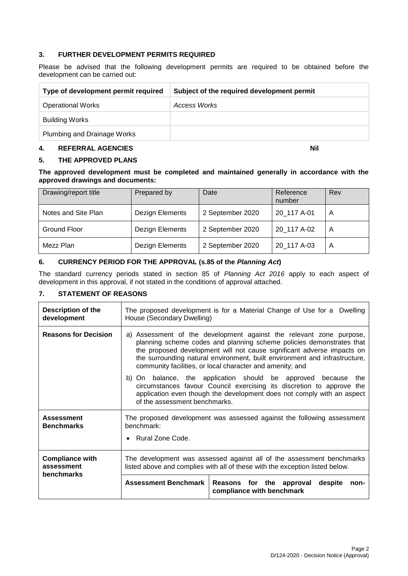## **3. FURTHER DEVELOPMENT PERMITS REQUIRED**

Please be advised that the following development permits are required to be obtained before the development can be carried out:

| Type of development permit required | Subject of the required development permit |
|-------------------------------------|--------------------------------------------|
| <b>Operational Works</b>            | Access Works                               |
| <b>Building Works</b>               |                                            |
| Plumbing and Drainage Works         |                                            |

#### **4. REFERRAL AGENCIES Nil**

## **5. THE APPROVED PLANS**

**The approved development must be completed and maintained generally in accordance with the approved drawings and documents:**

| Drawing/report title | Prepared by     | Date             | Reference<br>number | Rev |
|----------------------|-----------------|------------------|---------------------|-----|
| Notes and Site Plan  | Dezign Elements | 2 September 2020 | 20_117 A-01         | A   |
| Ground Floor         | Dezign Elements | 2 September 2020 | 20 117 A-02         | A   |
| Mezz Plan            | Dezign Elements | 2 September 2020 | 20 117 A-03         | A   |

## **6. CURRENCY PERIOD FOR THE APPROVAL (s.85 of the** *Planning Act***)**

The standard currency periods stated in section 85 of *Planning Act 2016* apply to each aspect of development in this approval, if not stated in the conditions of approval attached.

## **7. STATEMENT OF REASONS**

| <b>Description of the</b><br>development                  | The proposed development is for a Material Change of Use for a Dwelling<br>House (Secondary Dwelling)                                                                                                                                                                                                                                                                                                                             |  |  |
|-----------------------------------------------------------|-----------------------------------------------------------------------------------------------------------------------------------------------------------------------------------------------------------------------------------------------------------------------------------------------------------------------------------------------------------------------------------------------------------------------------------|--|--|
| <b>Reasons for Decision</b>                               | a) Assessment of the development against the relevant zone purpose,<br>planning scheme codes and planning scheme policies demonstrates that<br>the proposed development will not cause significant adverse impacts on<br>the surrounding natural environment, built environment and infrastructure,<br>community facilities, or local character and amenity; and<br>b) On balance, the application should be approved because the |  |  |
|                                                           | circumstances favour Council exercising its discretion to approve the<br>application even though the development does not comply with an aspect<br>of the assessment benchmarks.                                                                                                                                                                                                                                                  |  |  |
| <b>Assessment</b><br><b>Benchmarks</b>                    | The proposed development was assessed against the following assessment<br>benchmark:<br>• Rural Zone Code.                                                                                                                                                                                                                                                                                                                        |  |  |
| <b>Compliance with</b><br>assessment<br><b>benchmarks</b> | The development was assessed against all of the assessment benchmarks<br>listed above and complies with all of these with the exception listed below.<br><b>Assessment Benchmark</b><br>Reasons for the approval<br>despite<br>non-<br>compliance with benchmark                                                                                                                                                                  |  |  |
|                                                           |                                                                                                                                                                                                                                                                                                                                                                                                                                   |  |  |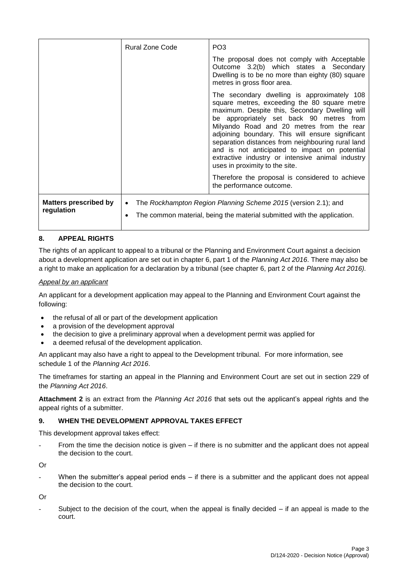|                                            | <b>Rural Zone Code</b> | PO <sub>3</sub><br>The proposal does not comply with Acceptable<br>Outcome 3.2(b) which states a Secondary<br>Dwelling is to be no more than eighty (80) square                                                                                                                                                                                                                                                                                                                                                                                                                                      |
|--------------------------------------------|------------------------|------------------------------------------------------------------------------------------------------------------------------------------------------------------------------------------------------------------------------------------------------------------------------------------------------------------------------------------------------------------------------------------------------------------------------------------------------------------------------------------------------------------------------------------------------------------------------------------------------|
|                                            |                        | metres in gross floor area.<br>The secondary dwelling is approximately 108<br>square metres, exceeding the 80 square metre<br>maximum. Despite this, Secondary Dwelling will<br>be appropriately set back 90 metres from<br>Milyando Road and 20 metres from the rear<br>adjoining boundary. This will ensure significant<br>separation distances from neighbouring rural land<br>and is not anticipated to impact on potential<br>extractive industry or intensive animal industry<br>uses in proximity to the site.<br>Therefore the proposal is considered to achieve<br>the performance outcome. |
| <b>Matters prescribed by</b><br>regulation | $\bullet$<br>٠         | The Rockhampton Region Planning Scheme 2015 (version 2.1); and<br>The common material, being the material submitted with the application.                                                                                                                                                                                                                                                                                                                                                                                                                                                            |

## **8. APPEAL RIGHTS**

The rights of an applicant to appeal to a tribunal or the Planning and Environment Court against a decision about a development application are set out in chapter 6, part 1 of the *Planning Act 2016*. There may also be a right to make an application for a declaration by a tribunal (see chapter 6, part 2 of the *Planning Act 2016).*

## *Appeal by an applicant*

An applicant for a development application may appeal to the Planning and Environment Court against the following:

- the refusal of all or part of the development application
- a provision of the development approval
- the decision to give a preliminary approval when a development permit was applied for
- a deemed refusal of the development application.

An applicant may also have a right to appeal to the Development tribunal. For more information, see schedule 1 of the *Planning Act 2016*.

The timeframes for starting an appeal in the Planning and Environment Court are set out in section 229 of the *Planning Act 2016*.

**Attachment 2** is an extract from the *Planning Act 2016* that sets out the applicant's appeal rights and the appeal rights of a submitter.

## **9. WHEN THE DEVELOPMENT APPROVAL TAKES EFFECT**

This development approval takes effect:

From the time the decision notice is given  $-$  if there is no submitter and the applicant does not appeal the decision to the court.

Or

When the submitter's appeal period ends  $-$  if there is a submitter and the applicant does not appeal the decision to the court.

Or

Subject to the decision of the court, when the appeal is finally decided  $-$  if an appeal is made to the court.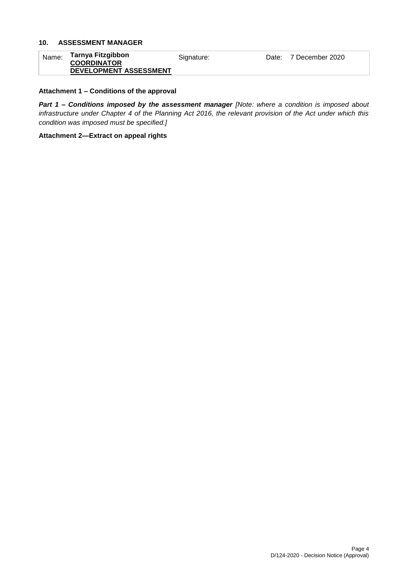## **10. ASSESSMENT MANAGER**

| Name: | Tarnya Fitzgibbon      | Sianature: | Date: | 7 December 2020 |
|-------|------------------------|------------|-------|-----------------|
|       | <b>COORDINATOR</b>     |            |       |                 |
|       | DEVELOPMENT ASSESSMENT |            |       |                 |

## **Attachment 1 – Conditions of the approval**

*Part 1* **–** *Conditions imposed by the assessment manager [Note: where a condition is imposed about infrastructure under Chapter 4 of the Planning Act 2016, the relevant provision of the Act under which this condition was imposed must be specified.]*

#### **Attachment 2—Extract on appeal rights**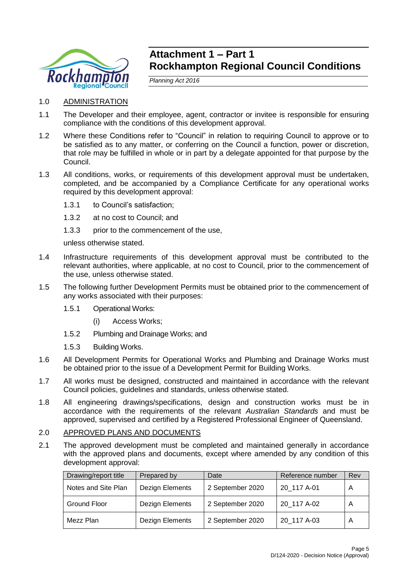

# **Attachment 1 – Part 1 Rockhampton Regional Council Conditions**

*Planning Act 2016*

- 1.0 ADMINISTRATION
- 1.1 The Developer and their employee, agent, contractor or invitee is responsible for ensuring compliance with the conditions of this development approval.
- 1.2 Where these Conditions refer to "Council" in relation to requiring Council to approve or to be satisfied as to any matter, or conferring on the Council a function, power or discretion, that role may be fulfilled in whole or in part by a delegate appointed for that purpose by the Council.
- 1.3 All conditions, works, or requirements of this development approval must be undertaken, completed, and be accompanied by a Compliance Certificate for any operational works required by this development approval:
	- 1.3.1 to Council's satisfaction;
	- 1.3.2 at no cost to Council; and
	- 1.3.3 prior to the commencement of the use,

unless otherwise stated.

- 1.4 Infrastructure requirements of this development approval must be contributed to the relevant authorities, where applicable, at no cost to Council, prior to the commencement of the use, unless otherwise stated.
- 1.5 The following further Development Permits must be obtained prior to the commencement of any works associated with their purposes:
	- 1.5.1 Operational Works:
		- (i) Access Works;
	- 1.5.2 Plumbing and Drainage Works; and
	- 1.5.3 Building Works.
- 1.6 All Development Permits for Operational Works and Plumbing and Drainage Works must be obtained prior to the issue of a Development Permit for Building Works.
- 1.7 All works must be designed, constructed and maintained in accordance with the relevant Council policies, guidelines and standards, unless otherwise stated.
- 1.8 All engineering drawings/specifications, design and construction works must be in accordance with the requirements of the relevant *Australian Standards* and must be approved, supervised and certified by a Registered Professional Engineer of Queensland.
- 2.0 APPROVED PLANS AND DOCUMENTS
- 2.1 The approved development must be completed and maintained generally in accordance with the approved plans and documents, except where amended by any condition of this development approval:

| Drawing/report title | Prepared by     | Date             | Reference number | Rev |
|----------------------|-----------------|------------------|------------------|-----|
| Notes and Site Plan  | Dezign Elements | 2 September 2020 | 20 117 A-01      | A   |
| Ground Floor         | Dezign Elements | 2 September 2020 | 20 117 A-02      | A   |
| Mezz Plan            | Dezign Elements | 2 September 2020 | 20 117 A-03      | A   |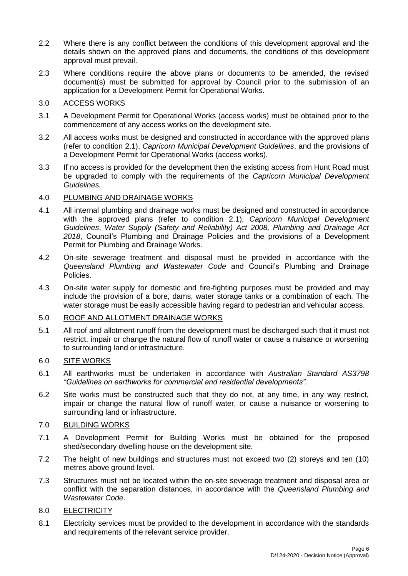- 2.2 Where there is any conflict between the conditions of this development approval and the details shown on the approved plans and documents, the conditions of this development approval must prevail.
- 2.3 Where conditions require the above plans or documents to be amended, the revised document(s) must be submitted for approval by Council prior to the submission of an application for a Development Permit for Operational Works.

## 3.0 ACCESS WORKS

- 3.1 A Development Permit for Operational Works (access works) must be obtained prior to the commencement of any access works on the development site.
- 3.2 All access works must be designed and constructed in accordance with the approved plans (refer to condition 2.1), *Capricorn Municipal Development Guidelines*, and the provisions of a Development Permit for Operational Works (access works).
- 3.3 If no access is provided for the development then the existing access from Hunt Road must be upgraded to comply with the requirements of the *Capricorn Municipal Development Guidelines.*

## 4.0 PLUMBING AND DRAINAGE WORKS

- 4.1 All internal plumbing and drainage works must be designed and constructed in accordance with the approved plans (refer to condition 2.1), *Capricorn Municipal Development Guidelines*, *Water Supply (Safety and Reliability) Act 2008, Plumbing and Drainage Act 2018*, Council's Plumbing and Drainage Policies and the provisions of a Development Permit for Plumbing and Drainage Works.
- 4.2 On-site sewerage treatment and disposal must be provided in accordance with the *Queensland Plumbing and Wastewater Code* and Council's Plumbing and Drainage Policies.
- 4.3 On-site water supply for domestic and fire-fighting purposes must be provided and may include the provision of a bore, dams, water storage tanks or a combination of each. The water storage must be easily accessible having regard to pedestrian and vehicular access.

## 5.0 ROOF AND ALLOTMENT DRAINAGE WORKS

5.1 All roof and allotment runoff from the development must be discharged such that it must not restrict, impair or change the natural flow of runoff water or cause a nuisance or worsening to surrounding land or infrastructure.

## 6.0 SITE WORKS

- 6.1 All earthworks must be undertaken in accordance with *Australian Standard AS3798 "Guidelines on earthworks for commercial and residential developments".*
- 6.2 Site works must be constructed such that they do not, at any time, in any way restrict, impair or change the natural flow of runoff water, or cause a nuisance or worsening to surrounding land or infrastructure.

## 7.0 BUILDING WORKS

- 7.1 A Development Permit for Building Works must be obtained for the proposed shed/secondary dwelling house on the development site.
- 7.2 The height of new buildings and structures must not exceed two (2) storeys and ten (10) metres above ground level.
- 7.3 Structures must not be located within the on-site sewerage treatment and disposal area or conflict with the separation distances, in accordance with the *Queensland Plumbing and Wastewater Code*.

## 8.0 ELECTRICITY

8.1 Electricity services must be provided to the development in accordance with the standards and requirements of the relevant service provider.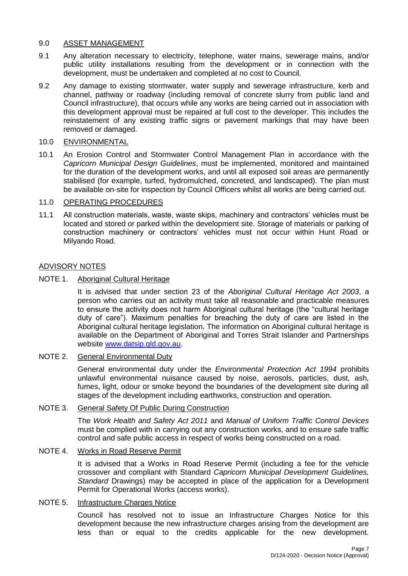## 9.0 ASSET MANAGEMENT

- 9.1 Any alteration necessary to electricity, telephone, water mains, sewerage mains, and/or public utility installations resulting from the development or in connection with the development, must be undertaken and completed at no cost to Council.
- 9.2 Any damage to existing stormwater, water supply and sewerage infrastructure, kerb and channel, pathway or roadway (including removal of concrete slurry from public land and Council infrastructure), that occurs while any works are being carried out in association with this development approval must be repaired at full cost to the developer. This includes the reinstatement of any existing traffic signs or pavement markings that may have been removed or damaged.

## 10.0 ENVIRONMENTAL

10.1 An Erosion Control and Stormwater Control Management Plan in accordance with the *Capricorn Municipal Design Guidelines*, must be implemented, monitored and maintained for the duration of the development works, and until all exposed soil areas are permanently stabilised (for example, turfed, hydromulched, concreted, and landscaped). The plan must be available on-site for inspection by Council Officers whilst all works are being carried out.

## 11.0 OPERATING PROCEDURES

11.1 All construction materials, waste, waste skips, machinery and contractors' vehicles must be located and stored or parked within the development site. Storage of materials or parking of construction machinery or contractors' vehicles must not occur within Hunt Road or Milyando Road.

## ADVISORY NOTES

NOTE 1. Aboriginal Cultural Heritage

It is advised that under section 23 of the *Aboriginal Cultural Heritage Act 2003*, a person who carries out an activity must take all reasonable and practicable measures to ensure the activity does not harm Aboriginal cultural heritage (the "cultural heritage duty of care"). Maximum penalties for breaching the duty of care are listed in the Aboriginal cultural heritage legislation. The information on Aboriginal cultural heritage is available on the Department of Aboriginal and Torres Strait Islander and Partnerships website [www.datsip.qld.gov.au.](http://www.datsip.qld.gov.au/)

## NOTE 2. General Environmental Duty

General environmental duty under the *Environmental Protection Act 1994* prohibits unlawful environmental nuisance caused by noise, aerosols, particles, dust, ash, fumes, light, odour or smoke beyond the boundaries of the development site during all stages of the development including earthworks, construction and operation.

## NOTE 3. General Safety Of Public During Construction

The *Work Health and Safety Act 2011* and *Manual of Uniform Traffic Control Devices* must be complied with in carrying out any construction works, and to ensure safe traffic control and safe public access in respect of works being constructed on a road.

## NOTE 4. Works in Road Reserve Permit

It is advised that a Works in Road Reserve Permit (including a fee for the vehicle crossover and compliant with Standard *Capricorn Municipal Development Guidelines, Standard* Drawings) may be accepted in place of the application for a Development Permit for Operational Works (access works).

## NOTE 5. Infrastructure Charges Notice

Council has resolved not to issue an Infrastructure Charges Notice for this development because the new infrastructure charges arising from the development are less than or equal to the credits applicable for the new development.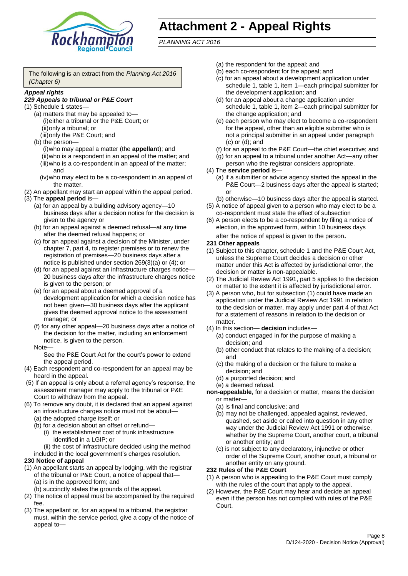

# **Attachment 2 - Appeal Rights**

*PLANNING ACT 2016*

The following is an extract from the *Planning Act 2016 (Chapter 6)*

#### *Appeal rights*

## *229 Appeals to tribunal or P&E Court*

- (1) Schedule 1 states—
	- (a) matters that may be appealed to— (i)either a tribunal or the P&E Court; or (ii)only a tribunal; or
	- (iii)only the P&E Court; and (b) the person—
		- (i)who may appeal a matter (the **appellant**); and (ii)who is a respondent in an appeal of the matter; and (iii)who is a co-respondent in an appeal of the matter; and
		- (iv)who may elect to be a co-respondent in an appeal of the matter.
- (2) An appellant may start an appeal within the appeal period.
- (3) The **appeal period** is—
	- (a) for an appeal by a building advisory agency—10 business days after a decision notice for the decision is given to the agency or
	- (b) for an appeal against a deemed refusal—at any time after the deemed refusal happens; or
	- (c) for an appeal against a decision of the Minister, under chapter 7, part 4, to register premises or to renew the registration of premises—20 business days after a notice is published under section 269(3)(a) or (4); or
	- (d) for an appeal against an infrastructure charges notice— 20 business days after the infrastructure charges notice is given to the person; or
	- (e) for an appeal about a deemed approval of a development application for which a decision notice has not been given—30 business days after the applicant gives the deemed approval notice to the assessment manager; or
	- (f) for any other appeal—20 business days after a notice of the decision for the matter, including an enforcement notice, is given to the person.

#### Note—

See the P&E Court Act for the court's power to extend the appeal period.

- (4) Each respondent and co-respondent for an appeal may be heard in the appeal.
- (5) If an appeal is only about a referral agency's response, the assessment manager may apply to the tribunal or P&E Court to withdraw from the appeal.
- (6) To remove any doubt, it is declared that an appeal against an infrastructure charges notice must not be about—
	- (a) the adopted charge itself; or
	- (b) for a decision about an offset or refund—
		- (i) the establishment cost of trunk infrastructure identified in a LGIP; or
		- (ii) the cost of infrastructure decided using the method
	- included in the local government's charges resolution.
- **230 Notice of appeal**
- (1) An appellant starts an appeal by lodging, with the registrar of the tribunal or P&E Court, a notice of appeal that—
	- (a) is in the approved form; and
	- (b) succinctly states the grounds of the appeal.
- (2) The notice of appeal must be accompanied by the required fee.
- (3) The appellant or, for an appeal to a tribunal, the registrar must, within the service period, give a copy of the notice of appeal to—
- (a) the respondent for the appeal; and
- (b) each co-respondent for the appeal; and
- (c) for an appeal about a development application under schedule 1, table 1, item 1—each principal submitter for the development application; and
- (d) for an appeal about a change application under schedule 1, table 1, item 2—each principal submitter for the change application; and
- (e) each person who may elect to become a co-respondent for the appeal, other than an eligible submitter who is not a principal submitter in an appeal under paragraph (c) or (d); and
- (f) for an appeal to the P&E Court—the chief executive; and
- (g) for an appeal to a tribunal under another Act—any other person who the registrar considers appropriate.
- (4) The **service period** is—
	- (a) if a submitter or advice agency started the appeal in the P&E Court—2 business days after the appeal is started; or
	- (b) otherwise—10 business days after the appeal is started.
- (5) A notice of appeal given to a person who may elect to be a co-respondent must state the effect of subsection
- (6) A person elects to be a co-respondent by filing a notice of election, in the approved form, within 10 business days after the notice of appeal is given to the person*.*
- **231 Other appeals**
- (1) Subject to this chapter, schedule 1 and the P&E Court Act, unless the Supreme Court decides a decision or other matter under this Act is affected by jurisdictional error, the decision or matter is non-appealable.
- (2) The Judicial Review Act 1991, part 5 applies to the decision or matter to the extent it is affected by jurisdictional error.
- (3) A person who, but for subsection (1) could have made an application under the Judicial Review Act 1991 in relation to the decision or matter, may apply under part 4 of that Act for a statement of reasons in relation to the decision or matter.
- (4) In this section— **decision** includes—
	- (a) conduct engaged in for the purpose of making a decision; and
	- (b) other conduct that relates to the making of a decision; and
	- (c) the making of a decision or the failure to make a decision; and
	- (d) a purported decision; and
	- (e) a deemed refusal.

**non-appealable**, for a decision or matter, means the decision or matter—

- (a) is final and conclusive; and
- (b) may not be challenged, appealed against, reviewed, quashed, set aside or called into question in any other way under the Judicial Review Act 1991 or otherwise, whether by the Supreme Court, another court, a tribunal or another entity; and
- (c) is not subject to any declaratory, injunctive or other order of the Supreme Court, another court, a tribunal or another entity on any ground.

#### **232 Rules of the P&E Court**

- (1) A person who is appealing to the P&E Court must comply with the rules of the court that apply to the appeal.
- (2) However, the P&E Court may hear and decide an appeal even if the person has not complied with rules of the P&E Court.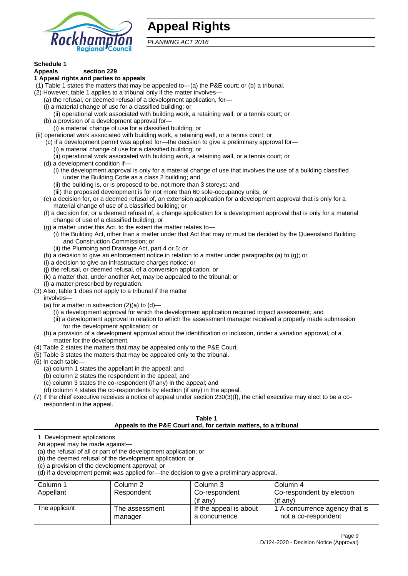

# **Appeal Rights**

*PLANNING ACT 2016*

# **Schedule 1**

#### **Appeals section 229 1 Appeal rights and parties to appeals**

- (1) Table 1 states the matters that may be appealed to—(a) the P&E court; or (b) a tribunal.
- (2) However, table 1 applies to a tribunal only if the matter involves—
	- (a) the refusal, or deemed refusal of a development application, for—
	- (i) a material change of use for a classified building; or
	- (ii) operational work associated with building work, a retaining wall, or a tennis court; or
	- (b) a provision of a development approval for—
	- (i) a material change of use for a classified building; or
- (ii) operational work associated with building work, a retaining wall, or a tennis court; or
	- (c) if a development permit was applied for—the decision to give a preliminary approval for—
		- (i) a material change of use for a classified building; or
	- (ii) operational work associated with building work, a retaining wall, or a tennis court; or
	- (d) a development condition if—
		- (i) the development approval is only for a material change of use that involves the use of a building classified under the Building Code as a class 2 building; and
		- (ii) the building is, or is proposed to be, not more than 3 storeys; and
		- (iii) the proposed development is for not more than 60 sole-occupancy units; or
	- (e) a decision for, or a deemed refusal of, an extension application for a development approval that is only for a material change of use of a classified building; or
	- (f) a decision for, or a deemed refusal of, a change application for a development approval that is only for a material change of use of a classified building; or
	- (g) a matter under this Act, to the extent the matter relates to—
		- (i) the Building Act, other than a matter under that Act that may or must be decided by the Queensland Building and Construction Commission; or
		- (ii) the Plumbing and Drainage Act, part 4 or 5; or
	- (h) a decision to give an enforcement notice in relation to a matter under paragraphs (a) to (g); or
	- (i) a decision to give an infrastructure charges notice; or
	- (j) the refusal, or deemed refusal, of a conversion application; or
	- (k) a matter that, under another Act, may be appealed to the tribunal; or
	- (l) a matter prescribed by regulation.
- (3) Also, table 1 does not apply to a tribunal if the matter

involves—

- (a) for a matter in subsection  $(2)(a)$  to  $(d)$ 
	- (i) a development approval for which the development application required impact assessment; and
	- (ii) a development approval in relation to which the assessment manager received a properly made submission for the development application; or
- (b) a provision of a development approval about the identification or inclusion, under a variation approval, of a matter for the development.
- (4) Table 2 states the matters that may be appealed only to the P&E Court.
- (5) Table 3 states the matters that may be appealed only to the tribunal.
- (6) In each table—
	- (a) column 1 states the appellant in the appeal; and
	- (b) column 2 states the respondent in the appeal; and
	- (c) column 3 states the co-respondent (if any) in the appeal; and
	- (d) column 4 states the co-respondents by election (if any) in the appeal.
- (7) If the chief executive receives a notice of appeal under section 230(3)(f), the chief executive may elect to be a corespondent in the appeal.

| Table 1<br>Appeals to the P&E Court and, for certain matters, to a tribunal                                                                                                                                                                                                                                                                    |                           |                                         |                                                       |  |
|------------------------------------------------------------------------------------------------------------------------------------------------------------------------------------------------------------------------------------------------------------------------------------------------------------------------------------------------|---------------------------|-----------------------------------------|-------------------------------------------------------|--|
| 1. Development applications<br>An appeal may be made against-<br>(a) the refusal of all or part of the development application; or<br>(b) the deemed refusal of the development application; or<br>(c) a provision of the development approval; or<br>(d) if a development permit was applied for—the decision to give a preliminary approval. |                           |                                         |                                                       |  |
| Column 1                                                                                                                                                                                                                                                                                                                                       | Column 2                  | Column 3                                | Column 4                                              |  |
| Co-respondent by election<br>Appellant<br>Respondent<br>Co-respondent<br>(if any)<br>$(i$ f any)                                                                                                                                                                                                                                               |                           |                                         |                                                       |  |
| The applicant                                                                                                                                                                                                                                                                                                                                  | The assessment<br>manager | If the appeal is about<br>a concurrence | 1 A concurrence agency that is<br>not a co-respondent |  |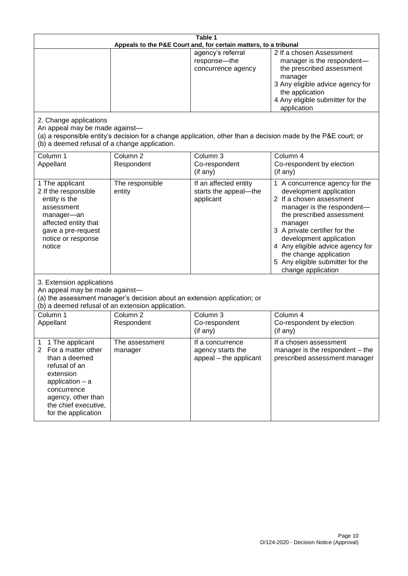| Table 1<br>Appeals to the P&E Court and, for certain matters, to a tribunal                                                                                                                                          |                                   |                                                                 |                                                                                                                                                                                                                                                                                                                                                 |
|----------------------------------------------------------------------------------------------------------------------------------------------------------------------------------------------------------------------|-----------------------------------|-----------------------------------------------------------------|-------------------------------------------------------------------------------------------------------------------------------------------------------------------------------------------------------------------------------------------------------------------------------------------------------------------------------------------------|
|                                                                                                                                                                                                                      |                                   | agency's referral<br>response-the<br>concurrence agency         | 2 If a chosen Assessment<br>manager is the respondent-<br>the prescribed assessment<br>manager<br>3 Any eligible advice agency for<br>the application<br>4 Any eligible submitter for the<br>application                                                                                                                                        |
| 2. Change applications<br>An appeal may be made against-<br>(b) a deemed refusal of a change application.                                                                                                            |                                   |                                                                 | (a) a responsible entity's decision for a change application, other than a decision made by the P&E court; or                                                                                                                                                                                                                                   |
| Column 1<br>Appellant                                                                                                                                                                                                | Column <sub>2</sub><br>Respondent | Column 3<br>Co-respondent<br>(if any)                           | Column 4<br>Co-respondent by election<br>(if any)                                                                                                                                                                                                                                                                                               |
| 1 The applicant<br>2 If the responsible<br>entity is the<br>assessment<br>manager-an<br>affected entity that<br>gave a pre-request<br>notice or response<br>notice                                                   | The responsible<br>entity         | If an affected entity<br>starts the appeal-the<br>applicant     | 1 A concurrence agency for the<br>development application<br>2 If a chosen assessment<br>manager is the respondent-<br>the prescribed assessment<br>manager<br>3 A private certifier for the<br>development application<br>4 Any eligible advice agency for<br>the change application<br>5 Any eligible submitter for the<br>change application |
| 3. Extension applications<br>An appeal may be made against-<br>(a) the assessment manager's decision about an extension application; or<br>(b) a deemed refusal of an extension application.                         |                                   |                                                                 |                                                                                                                                                                                                                                                                                                                                                 |
| Column 1<br>Appellant                                                                                                                                                                                                | Column <sub>2</sub><br>Respondent | Column 3<br>Co-respondent<br>(if any)                           | Column 4<br>Co-respondent by election<br>(if any)                                                                                                                                                                                                                                                                                               |
| 1 The applicant<br>1<br>$\overline{2}$<br>For a matter other<br>than a deemed<br>refusal of an<br>extension<br>application $-$ a<br>concurrence<br>agency, other than<br>the chief executive,<br>for the application | The assessment<br>manager         | If a concurrence<br>agency starts the<br>appeal - the applicant | If a chosen assessment<br>manager is the respondent – the<br>prescribed assessment manager                                                                                                                                                                                                                                                      |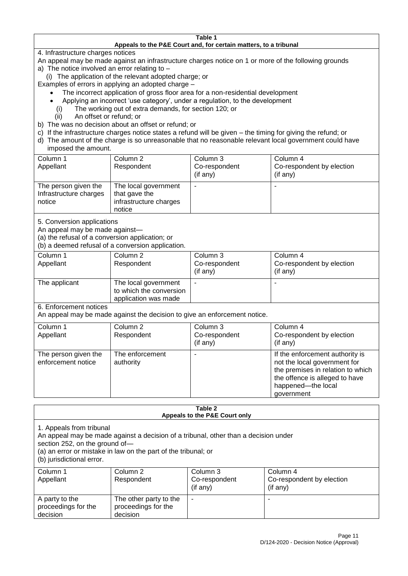#### **Table 1 Appeals to the P&E Court and, for certain matters, to a tribunal**

4. Infrastructure charges notices

- An appeal may be made against an infrastructure charges notice on 1 or more of the following grounds
- a) The notice involved an error relating to
	- (i) The application of the relevant adopted charge; or
- Examples of errors in applying an adopted charge
	- The incorrect application of gross floor area for a non-residential development
	- Applying an incorrect 'use category', under a regulation, to the development
	- (i) The working out of extra demands, for section 120; or
	- (ii) An offset or refund; or
- b) The was no decision about an offset or refund; or
- c) If the infrastructure charges notice states a refund will be given the timing for giving the refund; or
- d) The amount of the charge is so unreasonable that no reasonable relevant local government could have

## imposed the amount.

| Column 1<br>Appellant                                    | Column 2<br>Respondent                                                    | Column 3<br>Co-respondent<br>(if any) | Column 4<br>Co-respondent by election<br>(if any) |
|----------------------------------------------------------|---------------------------------------------------------------------------|---------------------------------------|---------------------------------------------------|
| The person given the<br>Infrastructure charges<br>notice | The local government<br>that gave the<br>infrastructure charges<br>notice |                                       | $\overline{\phantom{a}}$                          |

5. Conversion applications

An appeal may be made against—

(a) the refusal of a conversion application; or

(b) a deemed refusal of a conversion application.

| Column 1      | Column 2                | Column 3       | Column 4                  |
|---------------|-------------------------|----------------|---------------------------|
| Appellant     | Respondent              | Co-respondent  | Co-respondent by election |
|               |                         | $($ if any $)$ | $($ if any $)$            |
| The applicant | The local government    |                |                           |
|               | to which the conversion |                |                           |
|               | application was made    |                |                           |

6. Enforcement notices

An appeal may be made against the decision to give an enforcement notice.

| Column 1<br>Column 4<br>Column 2<br>Column 3<br>Co-respondent<br>Co-respondent by election<br>Appellant<br>Respondent<br>(if any)<br>(if any)<br>The enforcement<br>If the enforcement authority is<br>The person given the<br>not the local government for<br>enforcement notice<br>authority<br>the offence is alleged to have |  |                                                         |
|----------------------------------------------------------------------------------------------------------------------------------------------------------------------------------------------------------------------------------------------------------------------------------------------------------------------------------|--|---------------------------------------------------------|
|                                                                                                                                                                                                                                                                                                                                  |  |                                                         |
|                                                                                                                                                                                                                                                                                                                                  |  |                                                         |
|                                                                                                                                                                                                                                                                                                                                  |  |                                                         |
| government                                                                                                                                                                                                                                                                                                                       |  | the premises in relation to which<br>happened-the local |

#### **Table 2 Appeals to the P&E Court only**

1. Appeals from tribunal

An appeal may be made against a decision of a tribunal, other than a decision under

section 252, on the ground of—

(a) an error or mistake in law on the part of the tribunal; or

(b) jurisdictional error.

| Column 1<br>Appellant                             | Column 2<br>Respondent                                    | Column 3<br>Co-respondent<br>$($ if any $)$ | Column 4<br>Co-respondent by election<br>$($ if any $)$ |
|---------------------------------------------------|-----------------------------------------------------------|---------------------------------------------|---------------------------------------------------------|
| A party to the<br>proceedings for the<br>decision | The other party to the<br>proceedings for the<br>decision | ۰                                           |                                                         |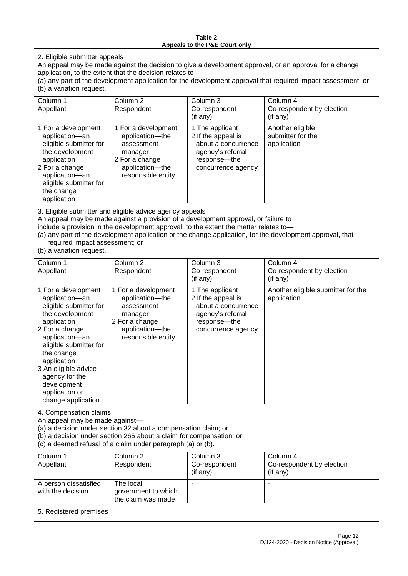#### **Table 2 Appeals to the P&E Court only**

2. Eligible submitter appeals

An appeal may be made against the decision to give a development approval, or an approval for a change application, to the extent that the decision relates to—

(a) any part of the development application for the development approval that required impact assessment; or (b) a variation request.

| Column 1<br>Appellant                                                                                                                                                                                                                                                                                                                                                                                              | Column 2<br>Respondent                                                                                                     | Column 3<br>Co-respondent<br>(if any)                                                                                     | Column 4<br>Co-respondent by election<br>(if any)    |
|--------------------------------------------------------------------------------------------------------------------------------------------------------------------------------------------------------------------------------------------------------------------------------------------------------------------------------------------------------------------------------------------------------------------|----------------------------------------------------------------------------------------------------------------------------|---------------------------------------------------------------------------------------------------------------------------|------------------------------------------------------|
| 1 For a development<br>application-an<br>eligible submitter for<br>the development<br>application<br>2 For a change<br>application-an<br>eligible submitter for<br>the change<br>application                                                                                                                                                                                                                       | 1 For a development<br>application-the<br>assessment<br>manager<br>2 For a change<br>application-the<br>responsible entity | 1 The applicant<br>2 If the appeal is<br>about a concurrence<br>agency's referral<br>response---the<br>concurrence agency | Another eligible<br>submitter for the<br>application |
| 3. Eligible submitter and eligible advice agency appeals<br>An appeal may be made against a provision of a development approval, or failure to<br>include a provision in the development approval, to the extent the matter relates to-<br>(a) any part of the development application or the change application, for the development approval, that<br>required impact assessment; or<br>(b) a variation request. |                                                                                                                            |                                                                                                                           |                                                      |
| Column 1<br>$A = -11 - 11$                                                                                                                                                                                                                                                                                                                                                                                         | Column 2<br>D - - - - - - - - -                                                                                            | Column 3                                                                                                                  | Column 4<br>Os seeses electrici electrici            |

| ו ווושוטש<br>Appellant                                                                                                                                                                                                                                                                        | OURIHIL 4<br>Respondent                                                                                                       | UUIUIIII U<br>Co-respondent<br>$($ if any $)$                                                                             | ד וווושוטט<br>Co-respondent by election<br>$($ if any $)$ |
|-----------------------------------------------------------------------------------------------------------------------------------------------------------------------------------------------------------------------------------------------------------------------------------------------|-------------------------------------------------------------------------------------------------------------------------------|---------------------------------------------------------------------------------------------------------------------------|-----------------------------------------------------------|
| 1 For a development<br>application-an<br>eligible submitter for<br>the development<br>application<br>2 For a change<br>application-an<br>eligible submitter for<br>the change<br>application<br>3 An eligible advice<br>agency for the<br>development<br>application or<br>change application | 1 For a development<br>application----the<br>assessment<br>manager<br>2 For a change<br>application-the<br>responsible entity | 1 The applicant<br>2 If the appeal is<br>about a concurrence<br>agency's referral<br>response---the<br>concurrence agency | Another eligible submitter for the<br>application         |

4. Compensation claims

An appeal may be made against—

(a) a decision under section 32 about a compensation claim; or

(b) a decision under section 265 about a claim for compensation; or

(c) a deemed refusal of a claim under paragraph (a) or (b).

| Column 1               | Column 2            | Column 3      | Column 4                  |  |  |
|------------------------|---------------------|---------------|---------------------------|--|--|
| Appellant              | Respondent          | Co-respondent | Co-respondent by election |  |  |
|                        |                     | (if any)      | (if any)                  |  |  |
| A person dissatisfied  | The local           |               |                           |  |  |
| with the decision      | government to which |               |                           |  |  |
| the claim was made     |                     |               |                           |  |  |
| 5. Registered premises |                     |               |                           |  |  |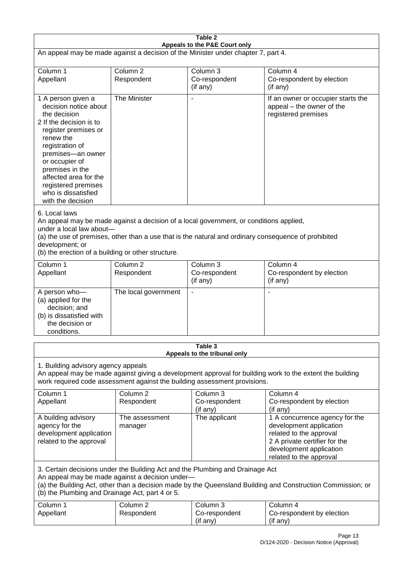| Table 2<br>Appeals to the P&E Court only                                                                                                                                                                                                                                                                             |                                   |                                                  |                                                                                                                                                                             |  |
|----------------------------------------------------------------------------------------------------------------------------------------------------------------------------------------------------------------------------------------------------------------------------------------------------------------------|-----------------------------------|--------------------------------------------------|-----------------------------------------------------------------------------------------------------------------------------------------------------------------------------|--|
| An appeal may be made against a decision of the Minister under chapter 7, part 4.                                                                                                                                                                                                                                    |                                   |                                                  |                                                                                                                                                                             |  |
| Column 1<br>Appellant                                                                                                                                                                                                                                                                                                | Column <sub>2</sub><br>Respondent | Column <sub>3</sub><br>Co-respondent<br>(if any) | Column 4<br>Co-respondent by election<br>(if any)                                                                                                                           |  |
| 1 A person given a<br>decision notice about<br>the decision<br>2 If the decision is to<br>register premises or<br>renew the<br>registration of<br>premises-an owner<br>or occupier of<br>premises in the<br>affected area for the<br>registered premises<br>who is dissatisfied<br>with the decision                 | The Minister                      | $\overline{\phantom{a}}$                         | If an owner or occupier starts the<br>appeal - the owner of the<br>registered premises                                                                                      |  |
| 6. Local laws<br>An appeal may be made against a decision of a local government, or conditions applied,<br>under a local law about-<br>(a) the use of premises, other than a use that is the natural and ordinary consequence of prohibited<br>development; or<br>(b) the erection of a building or other structure. |                                   |                                                  |                                                                                                                                                                             |  |
| Column 1<br>Appellant                                                                                                                                                                                                                                                                                                | Column <sub>2</sub><br>Respondent | Column 3<br>Co-respondent<br>(if any)            | Column 4<br>Co-respondent by election<br>(if any)                                                                                                                           |  |
| A person who-<br>(a) applied for the<br>decision; and<br>(b) is dissatisfied with<br>the decision or<br>conditions.                                                                                                                                                                                                  | The local government              | $\blacksquare$                                   |                                                                                                                                                                             |  |
|                                                                                                                                                                                                                                                                                                                      |                                   | Table 3<br>Appeals to the tribunal only          |                                                                                                                                                                             |  |
| 1. Building advisory agency appeals<br>An appeal may be made against giving a development approval for building work to the extent the building<br>work required code assessment against the building assessment provisions.                                                                                         |                                   |                                                  |                                                                                                                                                                             |  |
| Column 1<br>Appellant                                                                                                                                                                                                                                                                                                | Column <sub>2</sub><br>Respondent | Column 3<br>Co-respondent<br>(if any)            | Column 4<br>Co-respondent by election<br>(if any)                                                                                                                           |  |
| A building advisory<br>agency for the<br>development application<br>related to the approval                                                                                                                                                                                                                          | The assessment<br>manager         | The applicant                                    | 1 A concurrence agency for the<br>development application<br>related to the approval<br>2 A private certifier for the<br>development application<br>related to the approval |  |
| 3. Certain decisions under the Building Act and the Plumbing and Drainage Act<br>An appeal may be made against a decision under-<br>(a) the Building Act, other than a decision made by the Queensland Building and Construction Commission; or<br>(b) the Plumbing and Drainage Act, part 4 or 5.                   |                                   |                                                  |                                                                                                                                                                             |  |
| Column 1<br>Appellant                                                                                                                                                                                                                                                                                                | Column <sub>2</sub><br>Respondent | Column 3<br>Co-respondent<br>(if any)            | Column 4<br>Co-respondent by election<br>(if any)                                                                                                                           |  |